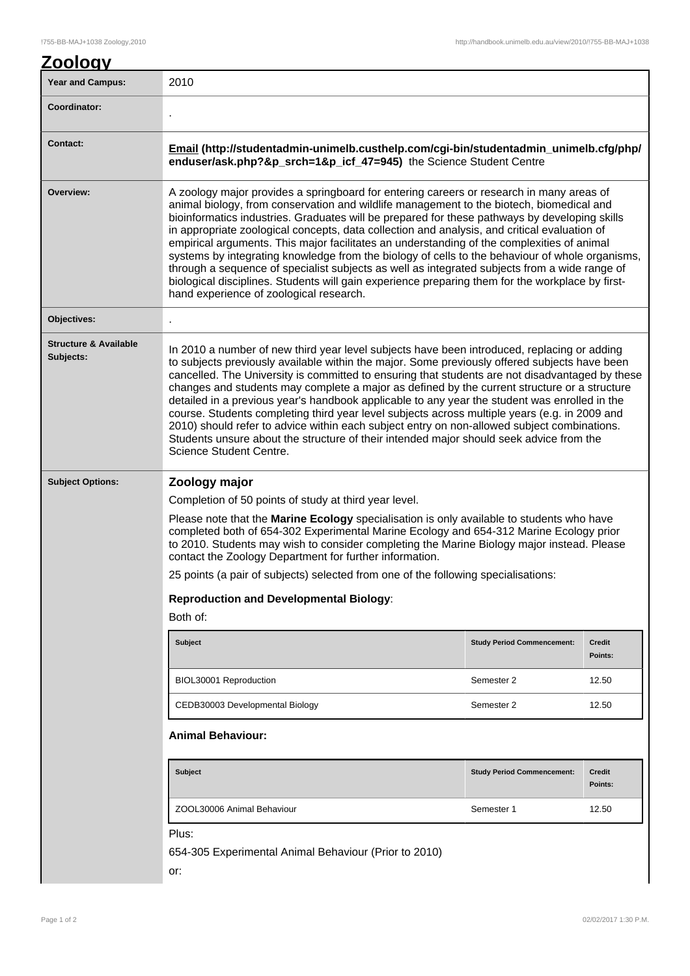## **Zoology**

| <b>Year and Campus:</b>                       | 2010                                                                                                                                                                                                                                                                                                                                                                                                                                                                                                                                                                                                                                                                                                                                                                                                                                   |                                   |                   |  |
|-----------------------------------------------|----------------------------------------------------------------------------------------------------------------------------------------------------------------------------------------------------------------------------------------------------------------------------------------------------------------------------------------------------------------------------------------------------------------------------------------------------------------------------------------------------------------------------------------------------------------------------------------------------------------------------------------------------------------------------------------------------------------------------------------------------------------------------------------------------------------------------------------|-----------------------------------|-------------------|--|
| Coordinator:                                  |                                                                                                                                                                                                                                                                                                                                                                                                                                                                                                                                                                                                                                                                                                                                                                                                                                        |                                   |                   |  |
| Contact:                                      | Email (http://studentadmin-unimelb.custhelp.com/cgi-bin/studentadmin_unimelb.cfg/php/<br>enduser/ask.php?&p_srch=1&p_icf_47=945) the Science Student Centre                                                                                                                                                                                                                                                                                                                                                                                                                                                                                                                                                                                                                                                                            |                                   |                   |  |
| Overview:                                     | A zoology major provides a springboard for entering careers or research in many areas of<br>animal biology, from conservation and wildlife management to the biotech, biomedical and<br>bioinformatics industries. Graduates will be prepared for these pathways by developing skills<br>in appropriate zoological concepts, data collection and analysis, and critical evaluation of<br>empirical arguments. This major facilitates an understanding of the complexities of animal<br>systems by integrating knowledge from the biology of cells to the behaviour of whole organisms,<br>through a sequence of specialist subjects as well as integrated subjects from a wide range of<br>biological disciplines. Students will gain experience preparing them for the workplace by first-<br>hand experience of zoological research. |                                   |                   |  |
| Objectives:                                   |                                                                                                                                                                                                                                                                                                                                                                                                                                                                                                                                                                                                                                                                                                                                                                                                                                        |                                   |                   |  |
| <b>Structure &amp; Available</b><br>Subjects: | In 2010 a number of new third year level subjects have been introduced, replacing or adding<br>to subjects previously available within the major. Some previously offered subjects have been<br>cancelled. The University is committed to ensuring that students are not disadvantaged by these<br>changes and students may complete a major as defined by the current structure or a structure<br>detailed in a previous year's handbook applicable to any year the student was enrolled in the<br>course. Students completing third year level subjects across multiple years (e.g. in 2009 and<br>2010) should refer to advice within each subject entry on non-allowed subject combinations.<br>Students unsure about the structure of their intended major should seek advice from the<br>Science Student Centre.                 |                                   |                   |  |
| <b>Subject Options:</b>                       | Zoology major                                                                                                                                                                                                                                                                                                                                                                                                                                                                                                                                                                                                                                                                                                                                                                                                                          |                                   |                   |  |
|                                               | Completion of 50 points of study at third year level.<br>Please note that the Marine Ecology specialisation is only available to students who have<br>completed both of 654-302 Experimental Marine Ecology and 654-312 Marine Ecology prior<br>to 2010. Students may wish to consider completing the Marine Biology major instead. Please<br>contact the Zoology Department for further information.<br>25 points (a pair of subjects) selected from one of the following specialisations:                                                                                                                                                                                                                                                                                                                                            |                                   |                   |  |
|                                               | <b>Reproduction and Developmental Biology:</b><br>Both of:                                                                                                                                                                                                                                                                                                                                                                                                                                                                                                                                                                                                                                                                                                                                                                             |                                   |                   |  |
|                                               | <b>Subject</b>                                                                                                                                                                                                                                                                                                                                                                                                                                                                                                                                                                                                                                                                                                                                                                                                                         | <b>Study Period Commencement:</b> | Credit<br>Points: |  |
|                                               | BIOL30001 Reproduction                                                                                                                                                                                                                                                                                                                                                                                                                                                                                                                                                                                                                                                                                                                                                                                                                 | Semester 2                        | 12.50             |  |
|                                               | CEDB30003 Developmental Biology                                                                                                                                                                                                                                                                                                                                                                                                                                                                                                                                                                                                                                                                                                                                                                                                        | Semester 2                        | 12.50             |  |
|                                               | <b>Animal Behaviour:</b>                                                                                                                                                                                                                                                                                                                                                                                                                                                                                                                                                                                                                                                                                                                                                                                                               |                                   |                   |  |
|                                               | <b>Subject</b>                                                                                                                                                                                                                                                                                                                                                                                                                                                                                                                                                                                                                                                                                                                                                                                                                         | <b>Study Period Commencement:</b> | Credit<br>Points: |  |
|                                               | ZOOL30006 Animal Behaviour                                                                                                                                                                                                                                                                                                                                                                                                                                                                                                                                                                                                                                                                                                                                                                                                             | Semester 1                        | 12.50             |  |
|                                               | Plus:<br>654-305 Experimental Animal Behaviour (Prior to 2010)<br>or:                                                                                                                                                                                                                                                                                                                                                                                                                                                                                                                                                                                                                                                                                                                                                                  |                                   |                   |  |